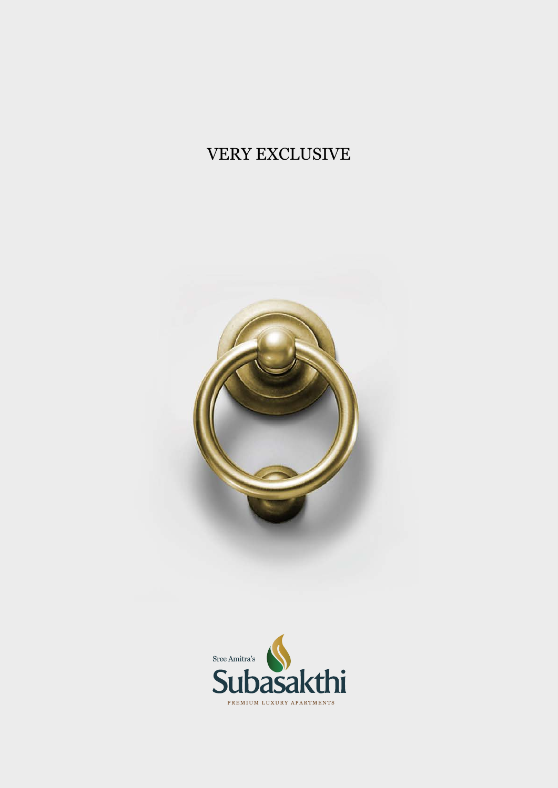# VERY EXCLUSIVE



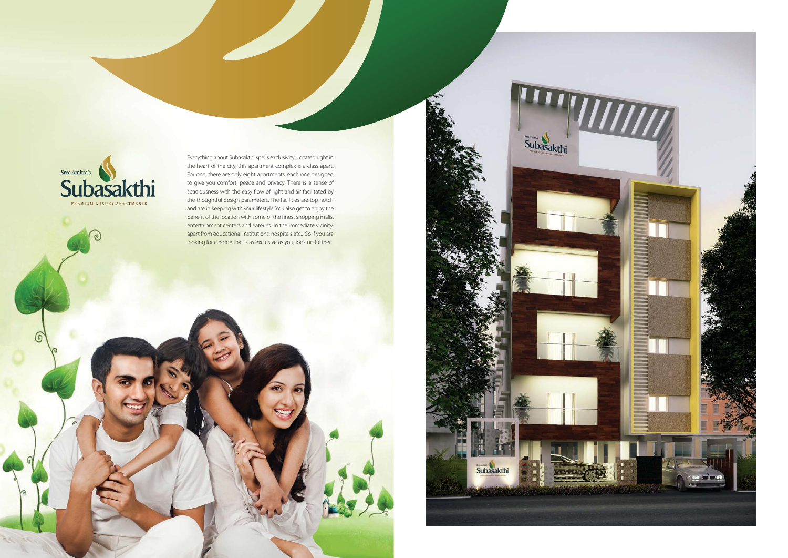

 $\circ$ 

 $\sim$ 

Everything about Subasakthi spells exclusivity. Located right in the heart of the city, this apartment complex is a class apart. For one, there are only eight apartments, each one designed to give you comfort, peace and privacy. There is a sense of spaciousness with the easy flow of light and air facilitated by the thoughtful design parameters. The facilities are top notch and are in keeping with your lifestyle. You also get to enjoy the benefit of the location with some of the finest shopping malls, entertainment centers and eateries in the immediate vicinity, apart from educational institutions, hospitals etc., So if you are looking for a home that is as exclusive as you, look no further.

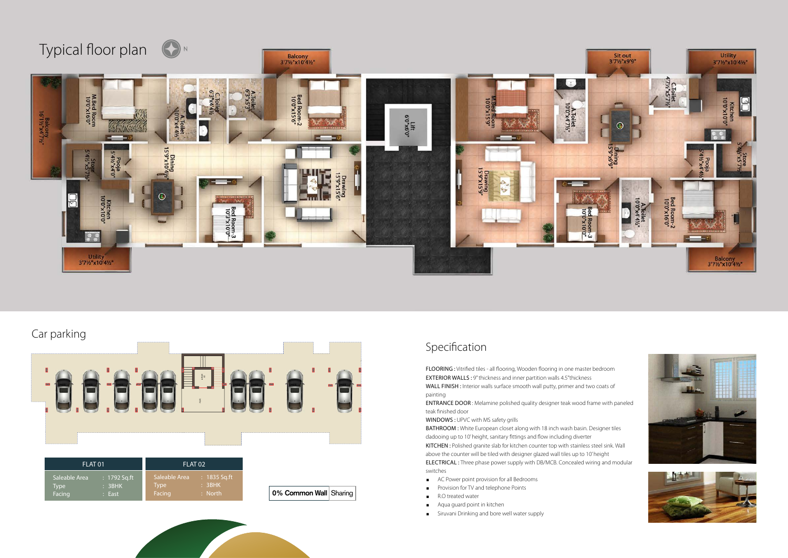

## Car parking

FLOORING : Vitrified tiles - all flooring, Wooden flooring in one master bedroom EXTERIOR WALLS : 9" thickness and inner partition walls 4.5"thickness WALL FINISH : Interior walls surface smooth wall putty, primer and two coats of painting

ENTRANCE DOOR : Melamine polished quality designer teak wood frame with paneled teak finished door

WINDOWS : UPVC with MS safety grills



BATHROOM : White European closet along with 18 inch wash basin. Designer tiles dadooing up to 10' height, sanitary fittings and flow including diverter KITCHEN : Polished granite slab for kitchen counter top with stainless steel sink. Wall above the counter will be tiled with designer glazed wall tiles up to 10' height ELECTRICAL : Three phase power supply with DB/MCB. Concealed wiring and modular switches

- AC Power point provision for all Bedrooms
- **Provision for TV and telephone Points**
- R.O treated water
- **Aqua guard point in kitchen**
- **Siruvani Drinking and bore well water supply**
- 
- 
- 
- 
- 





## Specification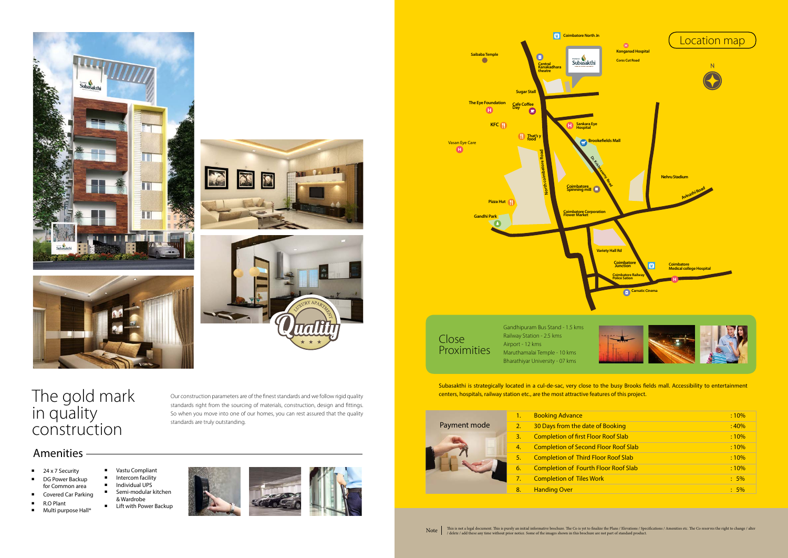**The Eye Foundation**









The gold mark in quality construction

Our construction parameters are of the finest standards and we follow rigid quality standards right from the sourcing of materials, construction, design and fittings. So when you move into one of our homes, you can rest assured that the quality standards are truly outstanding.



- 24 x 7 Security
- DG Power Backup for Common area
- Covered Car Parking
- R.O Plant
- Multi purpose Hall<sup>\*</sup>

**Vastu Compliant** Intercom facility

**E** Lift with Power Backup



| Saibaba Temple<br>Œ                                                                        | 回<br>$\bullet$<br>Central<br>Kanakadhara<br>theatre<br><b>Sugar Stall</b> | <b>Coimbatore North Jn</b><br>Subasakthi                                                                                                                                  | $\boldsymbol{0}$<br><b>Konganad Hospital</b><br><b>Corss Cut Road</b>                                                                              | Location map                                                                                         |
|--------------------------------------------------------------------------------------------|---------------------------------------------------------------------------|---------------------------------------------------------------------------------------------------------------------------------------------------------------------------|----------------------------------------------------------------------------------------------------------------------------------------------------|------------------------------------------------------------------------------------------------------|
| The Eye Foundation<br>$\boldsymbol{0}$<br>KFC (<br>are.<br>Pizza Hut<br><b>Gandhi Park</b> | Cafe Coffee<br>Day<br>$\bullet$<br>That's y<br>North coimbatore Road      | Sankara Eye<br>Hospital<br>$\mathbf{D}$<br><b>Brookefields Mall</b><br>O. friskland Road<br>Coimbatore<br>Spinning mill<br><b>Coimbatore Corporation</b><br>Flower Market | <b>Variety Hall Rd</b><br><b>Coimbatore</b><br><b>Junction</b><br>O<br><b>Coimbatore Railway</b><br><b>Police Sation</b><br><b>Carnatic Cinema</b> | <b>Nehru Stadium</b><br>Avinashi Road<br><b>Coimbatore</b><br><b>Medical college Hospital</b><br>[H] |
|                                                                                            | Gandhipuram Bus Stand - 1.5 kms<br>Railway Station - 2.5 kms              |                                                                                                                                                                           |                                                                                                                                                    |                                                                                                      |

|                        | :10%   |
|------------------------|--------|
| of Booking             | :40%   |
| or Roof Slab           | :10%   |
| <b>Floor Roof Slab</b> | :10%   |
| loor Roof Slab         | :10%   |
| <b>Floor Roof Slab</b> | :10%   |
| ork                    | $:5\%$ |
|                        | $:5\%$ |



# Payment mode



#### 2. 30 Days from the date 3. Completion of first Flo 4. Completion of Second 5. Completion of Third F

1. Booking Advance

Subasakthi is strategically located in a cul-de-sac, very close to the busy Brooks fields mall. Accessibility to entertainment centers, hospitals, railway station etc., are the most attractive features of this project.



Maruthamalai Temple - 10 kms Bharathiyar University - 07 kms

- 6. Completion of Fourth
- **Completion of Tiles W**
- 8. Handing Over
- Note This is not a legal document. This is purely an initial informative brochure. The Co is yet to finalize the Plans / Elevations / Specifications / Amenities etc. The Co reserves the right to change / alter / delete / a



### Amenities